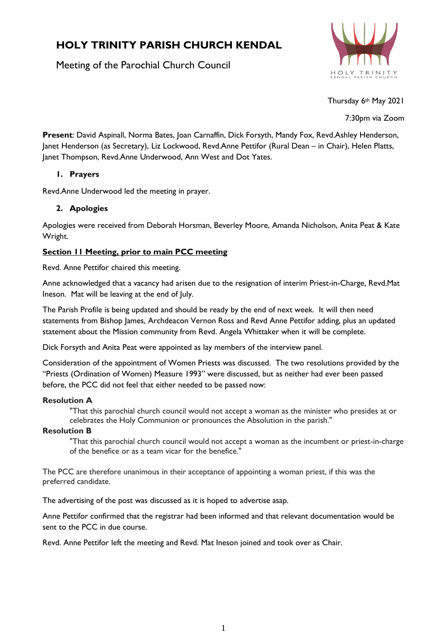# **HOLY TRINITY PARISH CHURCH KENDAL**

Meeting of the Parochial Church Council



Thursday 6th May 2021

7:30pm via Zoom

**Present**: David Aspinall, Norma Bates, Joan Carnaffin, Dick Forsyth, Mandy Fox, Revd.Ashley Henderson, Janet Henderson (as Secretary), Liz Lockwood, Revd.Anne Pettifor (Rural Dean – in Chair), Helen Platts, Janet Thompson, Revd.Anne Underwood, Ann West and Dot Yates.

# **1. Prayers**

Revd.Anne Underwood led the meeting in prayer.

# **2. Apologies**

Apologies were received from Deborah Horsman, Beverley Moore, Amanda Nicholson, Anita Peat & Kate Wright.

# **Section 11 Meeting, prior to main PCC meeting**

Revd. Anne Pettifor chaired this meeting.

Anne acknowledged that a vacancy had arisen due to the resignation of interim Priest-in-Charge, Revd.Mat Ineson. Mat will be leaving at the end of July.

The Parish Profile is being updated and should be ready by the end of next week. It will then need statements from Bishop James, Archdeacon Vernon Ross and Revd Anne Pettifor adding, plus an updated statement about the Mission community from Revd. Angela Whittaker when it will be complete.

Dick Forsyth and Anita Peat were appointed as lay members of the interview panel.

Consideration of the appointment of Women Priests was discussed. The two resolutions provided by the "Priests (Ordination of Women) Measure 1993" were discussed, but as neither had ever been passed before, the PCC did not feel that either needed to be passed now:

## **Resolution A**

"That this parochial church council would not accept a woman as the minister who presides at or celebrates the Holy Communion or pronounces the Absolution in the parish."

## **Resolution B**

"That this parochial church council would not accept a woman as the incumbent or priest-in-charge of the benefice or as a team vicar for the benefice."

The PCC are therefore unanimous in their acceptance of appointing a woman priest, if this was the preferred candidate.

The advertising of the post was discussed as it is hoped to advertise asap.

Anne Pettifor confirmed that the registrar had been informed and that relevant documentation would be sent to the PCC in due course.

Revd. Anne Pettifor left the meeting and Revd. Mat Ineson joined and took over as Chair.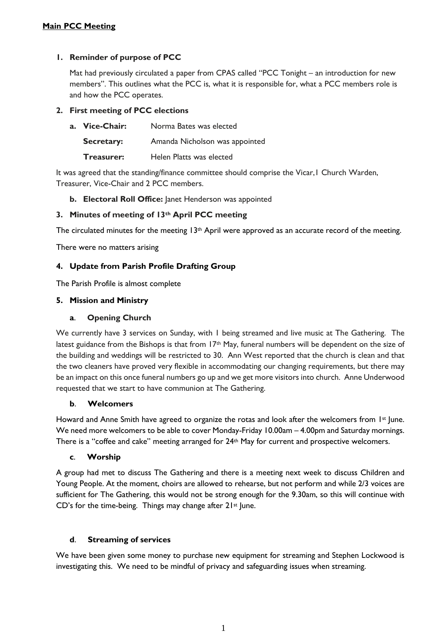# **1. Reminder of purpose of PCC**

Mat had previously circulated a paper from CPAS called "PCC Tonight – an introduction for new members". This outlines what the PCC is, what it is responsible for, what a PCC members role is and how the PCC operates.

# **2. First meeting of PCC elections**

| a. Vice-Chair:    | Norma Bates was elected        |
|-------------------|--------------------------------|
| <b>Secretary:</b> | Amanda Nicholson was appointed |
| Treasurer:        | Helen Platts was elected       |

It was agreed that the standing/finance committee should comprise the Vicar,1 Church Warden, Treasurer, Vice-Chair and 2 PCC members.

**b. Electoral Roll Office:** Janet Henderson was appointed

# **3. Minutes of meeting of 13th April PCC meeting**

The circulated minutes for the meeting  $13<sup>th</sup>$  April were approved as an accurate record of the meeting.

There were no matters arising

## **4. Update from Parish Profile Drafting Group**

The Parish Profile is almost complete

#### **5. Mission and Ministry**

## **a**. **Opening Church**

We currently have 3 services on Sunday, with 1 being streamed and live music at The Gathering. The latest guidance from the Bishops is that from 17<sup>th</sup> May, funeral numbers will be dependent on the size of the building and weddings will be restricted to 30. Ann West reported that the church is clean and that the two cleaners have proved very flexible in accommodating our changing requirements, but there may be an impact on this once funeral numbers go up and we get more visitors into church. Anne Underwood requested that we start to have communion at The Gathering.

## **b**. **Welcomers**

Howard and Anne Smith have agreed to organize the rotas and look after the welcomers from 1st June. We need more welcomers to be able to cover Monday-Friday 10.00am – 4.00pm and Saturday mornings. There is a "coffee and cake" meeting arranged for 24th May for current and prospective welcomers.

## **c**. **Worship**

A group had met to discuss The Gathering and there is a meeting next week to discuss Children and Young People. At the moment, choirs are allowed to rehearse, but not perform and while 2/3 voices are sufficient for The Gathering, this would not be strong enough for the 9.30am, so this will continue with CD's for the time-being. Things may change after  $21^{st}$  June.

## **d**. **Streaming of services**

We have been given some money to purchase new equipment for streaming and Stephen Lockwood is investigating this. We need to be mindful of privacy and safeguarding issues when streaming.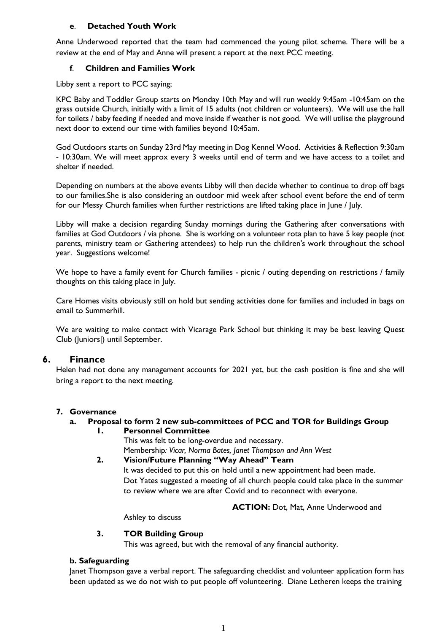# **e**. **Detached Youth Work**

Anne Underwood reported that the team had commenced the young pilot scheme. There will be a review at the end of May and Anne will present a report at the next PCC meeting.

# **f**. **Children and Families Work**

Libby sent a report to PCC saying;

KPC Baby and Toddler Group starts on Monday 10th May and will run weekly 9:45am -10:45am on the grass outside Church, initially with a limit of 15 adults (not children or volunteers). We will use the hall for toilets / baby feeding if needed and move inside if weather is not good. We will utilise the playground next door to extend our time with families beyond 10:45am.

God Outdoors starts on Sunday 23rd May meeting in Dog Kennel Wood. Activities & Reflection 9:30am - 10:30am. We will meet approx every 3 weeks until end of term and we have access to a toilet and shelter if needed.

Depending on numbers at the above events Libby will then decide whether to continue to drop off bags to our families.She is also considering an outdoor mid week after school event before the end of term for our Messy Church families when further restrictions are lifted taking place in June / July.

Libby will make a decision regarding Sunday mornings during the Gathering after conversations with families at God Outdoors / via phone. She is working on a volunteer rota plan to have 5 key people (not parents, ministry team or Gathering attendees) to help run the children's work throughout the school year. Suggestions welcome!

We hope to have a family event for Church families - picnic / outing depending on restrictions / family thoughts on this taking place in July.

Care Homes visits obviously still on hold but sending activities done for families and included in bags on email to Summerhill.

We are waiting to make contact with Vicarage Park School but thinking it may be best leaving Quest Club (Juniors|) until September.

# **6. Finance**

Helen had not done any management accounts for 2021 yet, but the cash position is fine and she will bring a report to the next meeting.

## **7. Governance**

# **a. Proposal to form 2 new sub-committees of PCC and TOR for Buildings Group**

#### **1. Personnel Committee**

This was felt to be long-overdue and necessary. Membership*: Vicar, Norma Bates, Janet Thompson and Ann West*

## **2. Vision/Future Planning "Way Ahead" Team**

It was decided to put this on hold until a new appointment had been made. Dot Yates suggested a meeting of all church people could take place in the summer to review where we are after Covid and to reconnect with everyone.

 **ACTION:** Dot, Mat, Anne Underwood and

Ashley to discuss

## **3. TOR Building Group**

This was agreed, but with the removal of any financial authority.

## **b. Safeguarding**

Janet Thompson gave a verbal report. The safeguarding checklist and volunteer application form has been updated as we do not wish to put people off volunteering. Diane Letheren keeps the training